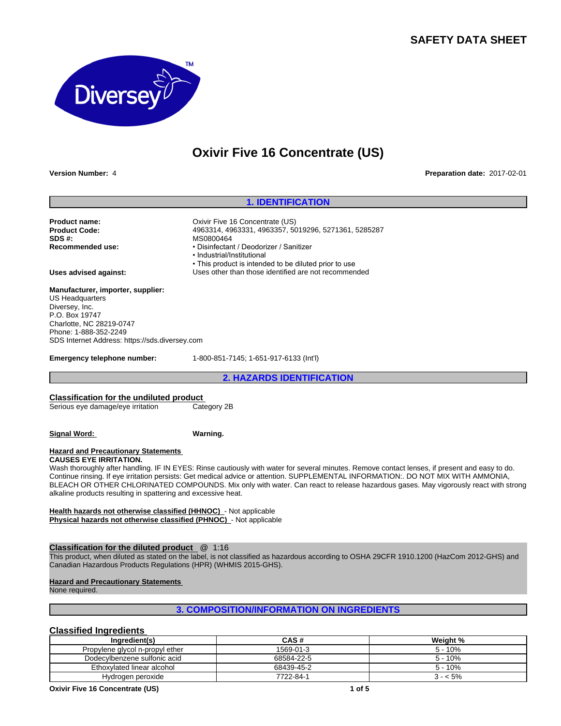# **SAFETY DATA SHEET**



# **Oxivir Five 16 Concentrate (US)**

**Version Number:** 4 **Preparation date:** 2017-02-01

## **1. IDENTIFICATION**

**Product Code:** 4963314, 4963331, 4963357, 5019296, 5271361, 5285287

• This product is intended to be diluted prior to use

**Product name:** CX CONSITY Five 16 Concentrate (US)<br> **Product Code:** 2008 24963314, 4963331, 4963357, 50 **SDS #:** MS0800464<br> **Recommended use:** Network The Positive Positive Positive Positive Positive Positive Positive Positive Positive P<br> **Recommended use:** Network Positive Positive Positive Positive Positive Positive Positi

**Uses advised against:** Uses other than those identified are not recommended

#### **Manufacturer, importer, supplier:** US Headquarters

Diversey, Inc. P.O. Box 19747 Charlotte, NC 28219-0747 Phone: 1-888-352-2249 SDS Internet Address: https://sds.diversey.com

**Emergency telephone number:** 1-800-851-7145; 1-651-917-6133 (Int'l)

• Disinfectant / Deodorizer / Sanitizer

•Industrial/Institutional

**2. HAZARDS IDENTIFICATION**

# **Classification for the undiluted product**<br>
Serious eye damage/eye irritation Category 2B

Serious eye damage/eye irritation

**Signal Word: Warning.**

#### **Hazard and Precautionary Statements**

**CAUSES EYE IRRITATION.**

Wash thoroughly after handling. IF IN EYES: Rinse cautiously with water for several minutes. Remove contact lenses, if present and easy to do. Continue rinsing. If eye irritation persists: Get medical advice or attention. SUPPLEMENTAL INFORMATION:. DO NOT MIX WITH AMMONIA, BLEACH OR OTHER CHLORINATED COMPOUNDS. Mix only with water. Can react to release hazardous gases. May vigorously react with strong alkaline products resulting in spattering and excessive heat.

**Health hazards not otherwise classified (HHNOC)** - Not applicable **Physical hazards not otherwise classified (PHNOC)** - Not applicable

## **Classification for the diluted product** @ 1:16

This product, when diluted as stated on the label, is not classified as hazardous according to OSHA 29CFR 1910.1200 (HazCom 2012-GHS) and Canadian Hazardous Products Regulations (HPR) (WHMIS 2015-GHS).

**Hazard and Precautionary Statements** 

None required.

# **3. COMPOSITION/INFORMATION ON INGREDIENTS**

# **Classified Ingredients**

| Ingredient(s)                   | <b>CAS#</b> | Weight %  |
|---------------------------------|-------------|-----------|
| Propylene glycol n-propyl ether | 1569-01-3   | $5 - 10%$ |
| Dodecylbenzene sulfonic acid    | 68584-22-5  | $5 - 10%$ |
| Ethoxylated linear alcohol      | 68439-45-2  | $5 - 10%$ |
| Hydrogen peroxide               | 7722-84-1   | 3 - < 5%  |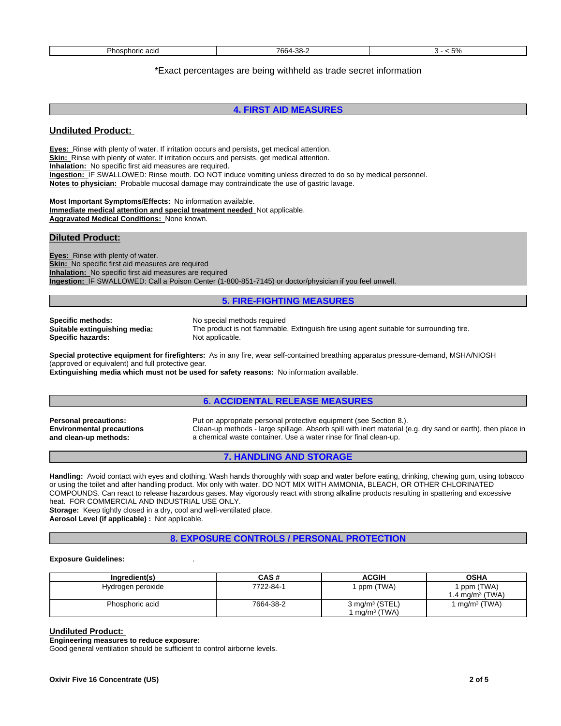| 7664-<br>ററ<br>Phosphoric au<br>ാറ-<br>$\overline{\phantom{a}}$<br>$\cdot$ |
|----------------------------------------------------------------------------|
|----------------------------------------------------------------------------|

# \*Exact percentages are being withheld as trade secret information

# **4. FIRST AID MEASURES**

## **Undiluted Product:**

**Eyes:** Rinse with plenty of water. If irritation occurs and persists, get medical attention. **Skin:** Rinse with plenty of water. If irritation occurs and persists, get medical attention. **Inhalation:** No specific first aid measures are required. **Ingestion:** IF SWALLOWED: Rinse mouth. DO NOT induce vomiting unless directed to do so by medical personnel. **Notes to physician:** Probable mucosal damage may contraindicate the use of gastric lavage.

**Most Important Symptoms/Effects:** No information available. **Immediate medical attention and special treatment needed** Not applicable. **Aggravated Medical Conditions:** None known.

## **Diluted Product:**

**Eyes:** Rinse with plenty of water. **Skin:** No specific first aid measures are required **Inhalation:** No specific first aid measures are required **Ingestion:** IF SWALLOWED: Call a Poison Center (1-800-851-7145) or doctor/physician if you feel unwell.

## **5. FIRE-FIGHTING MEASURES**

**Specific methods:** No special methods required<br> **Suitable extinguishing media:** The product is not flammable **Specific hazards:** 

The product is not flammable. Extinguish fire using agent suitable for surrounding fire.<br>Not applicable.

**Special protective equipment for firefighters:** As in any fire, wear self-contained breathing apparatus pressure-demand, MSHA/NIOSH (approved or equivalent) and full protective gear.

**Extinguishing media which must not be used for safety reasons:** No information available.

# **6. ACCIDENTAL RELEASE MEASURES**

**Environmental precautions and clean-up methods:**

**Personal precautions:** Put on appropriate personal protective equipment (see Section 8.). Clean-up methods - large spillage. Absorb spill with inert material (e.g. dry sand or earth), then place in a chemical waste container. Use a water rinse for final clean-up.

# **7. HANDLING AND STORAGE**

**Handling:** Avoid contact with eyes and clothing. Wash hands thoroughly with soap and water before eating, drinking, chewing gum, using tobacco or using the toilet and after handling product. Mix only with water. DO NOT MIX WITH AMMONIA, BLEACH, OR OTHER CHLORINATED COMPOUNDS. Can react to release hazardous gases. May vigorously react with strong alkaline products resulting in spattering and excessive heat. FOR COMMERCIAL AND INDUSTRIAL USE ONLY. **Storage:** Keep tightly closed in a dry, cool and well-ventilated place.

**Aerosol Level (if applicable) :** Not applicable.

**8. EXPOSURE CONTROLS / PERSONAL PROTECTION**

#### **Exposure Guidelines:** .

| Ingredient(s)     | CAS#      | <b>ACGIH</b>                                 | <b>OSHA</b>                              |
|-------------------|-----------|----------------------------------------------|------------------------------------------|
| Hydrogen peroxide | 7722-84-1 | ppm (TWA)                                    | ppm (TWA)<br>1.4 mg/m <sup>3</sup> (TWA) |
| Phosphoric acid   | 7664-38-2 | 3 mg/m <sup>3</sup> (STEL)<br>$mq/m^3$ (TWA) | $mg/m3$ (TWA)                            |

#### **Undiluted Product:**

**Engineering measures to reduce exposure:**

Good general ventilation should be sufficient to control airborne levels.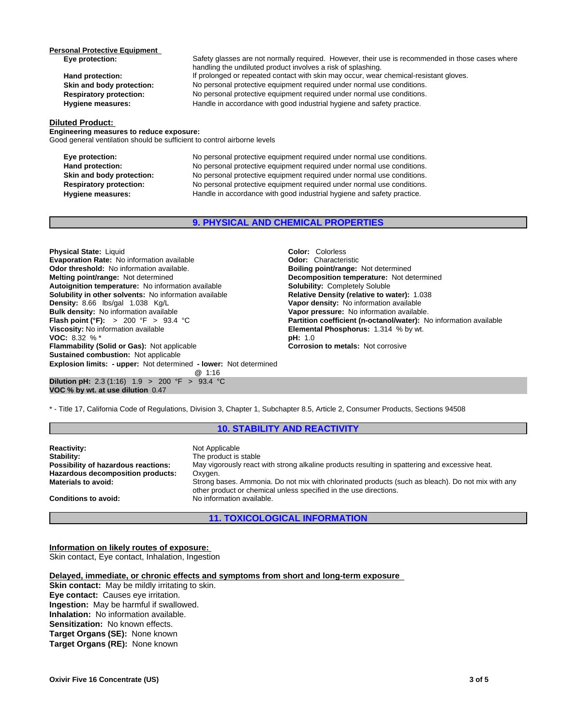# **Personal Protective Equipment**<br> **Eye protection:**

#### Safety glasses are not normally required. However, their use is recommended in those cases where handling the undiluted product involves a risk of splashing. Hand protection: If prolonged or repeated contact with skin may occur, wear chemical-resistant gloves. **Skin and body protection:** No personal protective equipment required under normal use conditions. **Respiratory protection:** No personal protective equipment required under normal use conditions. **Hygiene measures:** Handle in accordance with good industrial hygiene and safety practice.

#### **Diluted Product:**

**Engineering measures to reduce exposure:** Good general ventilation should be sufficient to control airborne levels

**Eye protection:** No personal protective equipment required under normal use conditions. Hand protection: No personal protective equipment required under normal use conditions. Skin and body protection: No personal protective equipment required under normal use conditions. **Respiratory protection:** No personal protective equipment required under normal use conditions. **Hygiene measures:** Handle in accordance with good industrial hygiene and safety practice.

# **9. PHYSICAL AND CHEMICAL PROPERTIES**

**Explosion limits: - upper:** Not determined **- lower:** Not determined **@** 1:16 **Dilution pH:** 2.3 (1:16) 1.9 > 200 °F > 93.4 °C **VOC % by wt. at use dilution** 0.47 **Physical State:** Liquid **Color:** *Coloriens*<br> **Evaporation Rate:** No information available **Color: Characteristic Color: Characteristic Evaporation Rate:** No information available **Configuration Convention Characteristic**<br> **Odor threshold:** No information available. **Convention Convention Convention Convention** Convention Convention Convention Convention **Odor threshold:** No information available. **Melting point/range:** Not determined **Decomposition temperature:** Not determined **Autoionition temperature:** Not determined **Autoignition temperature:** No information available **Solubility in other solvents:** No information available **Relative Density (relative to water):** 1.038 **Density: Relative Density: Relative to water):** 1.038 **Density: Relative Density: No** information available **Density:** 8.66 lbs/gal 1.038 Kg/L **Vapor density:** No information available **Bulk density:** No information available **Bulk density:** No information available **Bulk density:** No information available **Vapor pressure:** No information available.<br> **Flash point (°F):** > 200 °F > 93.4 °C<br> **Partition coefficient (n-octanol/water):** N **Viscosity:** No information available **Elemental Phosphorus:** 1.314 % by wt.<br> **VOC:** 8.32 % \* **VOC: 8.32 % \* Flammability (Solid or Gas):** Not applicable **Corrosion to metals:** Not corrosive **Sustained combustion:** Not applicable

**Partition coefficient (n-octanol/water):** No information available

\* - Title 17, California Code of Regulations, Division 3, Chapter 1, Subchapter 8.5, Article 2, Consumer Products, Sections 94508

# **10. STABILITY AND REACTIVITY**

**Reactivity:** Not Applicable<br> **Stability:** The product is **Stability:** The product is stable<br> **Possibility of hazardous reactions:** May vigorously react May vigorously react with strong alkaline products resulting in spattering and excessive heat. **Hazardous decomposition products: Oxygen.**<br>**Materials to avoid:** Strong b **Materials to avoid:** Strong bases. Ammonia. Do not mix with chlorinated products (such as bleach). Do not mix with any other product or chemical unless specified in the use directions. **Conditions to avoid:** No information available.

# **11. TOXICOLOGICAL INFORMATION**

# **Information on likely routes of exposure:**

Skin contact, Eye contact, Inhalation, Ingestion

#### **Delayed, immediate, or chronic effects and symptoms from short and long-term exposure**

**Skin contact:** May be mildly irritating to skin. **Eye contact:** Causes eye irritation. **Ingestion:** May be harmful if swallowed. **Inhalation:** No information available. **Sensitization:** No known effects. **Target Organs (SE):** None known **Target Organs (RE):** None known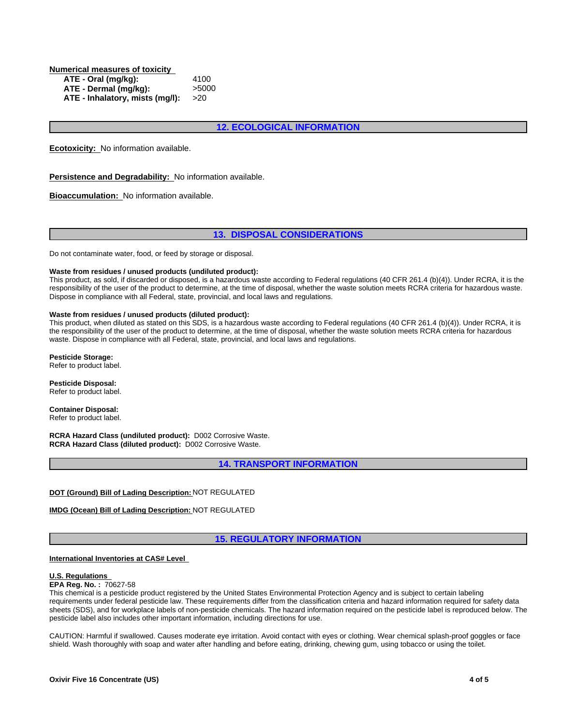**Numerical measures of toxicity ATE - Oral (mg/kg):** 4100 **ATE - Dermal (mg/kg):** >5000 **ATE - Inhalatory, mists (mg/l):** >20

# **12. ECOLOGICAL INFORMATION**

**Ecotoxicity:** No information available.

**Persistence and Degradability:** No information available.

**Bioaccumulation:** No information available.

## **13. DISPOSAL CONSIDERATIONS**

Do not contaminate water, food, or feed by storage or disposal.

#### **Waste from residues / unused products (undiluted product):**

This product, as sold, if discarded or disposed, is a hazardous waste according to Federal regulations (40 CFR 261.4 (b)(4)). Under RCRA, it is the responsibility of the user of the product to determine, at the time of disposal, whether the waste solution meets RCRA criteria for hazardous waste. Dispose in compliance with all Federal, state, provincial, and local laws and regulations.

#### **Waste from residues / unused products (diluted product):**

This product, when diluted as stated on this SDS, is a hazardous waste according to Federal regulations (40 CFR 261.4 (b)(4)). Under RCRA, it is the responsibility of the user of the product to determine, at the time of disposal, whether the waste solution meets RCRA criteria for hazardous waste. Dispose in compliance with all Federal, state, provincial, and local laws and regulations.

**Pesticide Storage:**

Refer to product label.

**Pesticide Disposal:** Refer to product label.

**Container Disposal:** Refer to product label.

**RCRA Hazard Class (undiluted product):** D002 Corrosive Waste. **RCRA Hazard Class (diluted product):** D002 Corrosive Waste.

**14. TRANSPORT INFORMATION**

**DOT (Ground) Bill of Lading Description:** NOT REGULATED

**IMDG (Ocean) Bill of Lading Description:** NOT REGULATED

# **15. REGULATORY INFORMATION**

#### **International Inventories at CAS# Level**

#### **U.S. Regulations**

**EPA Reg. No. :** 70627-58

This chemical is a pesticide product registered by the United States Environmental Protection Agency and is subject to certain labeling requirements under federal pesticide law. These requirements differ from the classification criteria and hazard information required for safety data sheets (SDS), and for workplace labels of non-pesticide chemicals. The hazard information required on the pesticide label is reproduced below. The pesticide label also includes other important information, including directions for use.

CAUTION: Harmful if swallowed. Causes moderate eye irritation. Avoid contact with eyes or clothing. Wear chemical splash-proof goggles or face shield. Wash thoroughly with soap and water after handling and before eating, drinking, chewing gum, using tobacco or using the toilet.